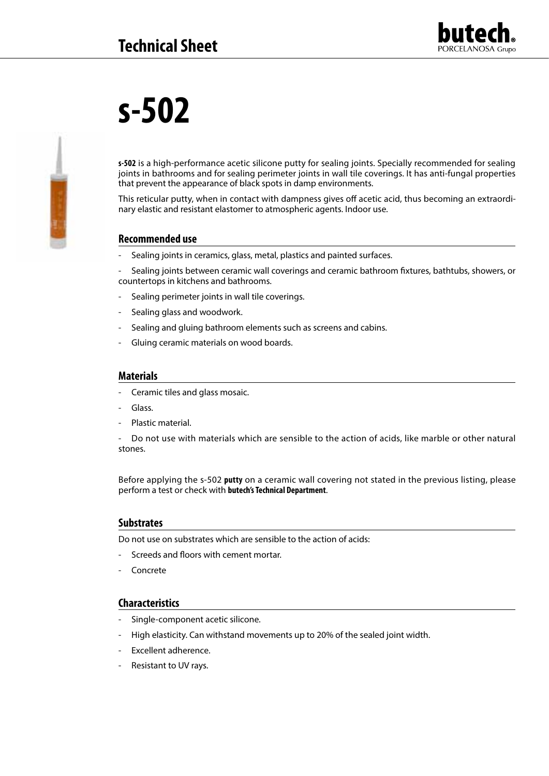

# **s-502**

**s-502** is a high-performance acetic silicone putty for sealing joints. Specially recommended for sealing joints in bathrooms and for sealing perimeter joints in wall tile coverings. It has anti-fungal properties that prevent the appearance of black spots in damp environments.

This reticular putty, when in contact with dampness gives off acetic acid, thus becoming an extraordinary elastic and resistant elastomer to atmospheric agents. Indoor use.

# **Recommended use**

Sealing joints in ceramics, glass, metal, plastics and painted surfaces.

- Sealing joints between ceramic wall coverings and ceramic bathroom fixtures, bathtubs, showers, or countertops in kitchens and bathrooms.

- Sealing perimeter joints in wall tile coverings.
- Sealing glass and woodwork.
- Sealing and gluing bathroom elements such as screens and cabins.
- Gluing ceramic materials on wood boards.

#### **Materials**

- Ceramic tiles and glass mosaic.
- Glass.
- Plastic material.

Do not use with materials which are sensible to the action of acids, like marble or other natural stones.

Before applying the s-502 **putty** on a ceramic wall covering not stated in the previous listing, please perform a test or check with **butech's Technical Department**.

#### **Substrates**

Do not use on substrates which are sensible to the action of acids:

- Screeds and floors with cement mortar.
- **Concrete**

#### **Characteristics**

- Single-component acetic silicone.
- High elasticity. Can withstand movements up to 20% of the sealed joint width.
- Excellent adherence.
- Resistant to UV rays.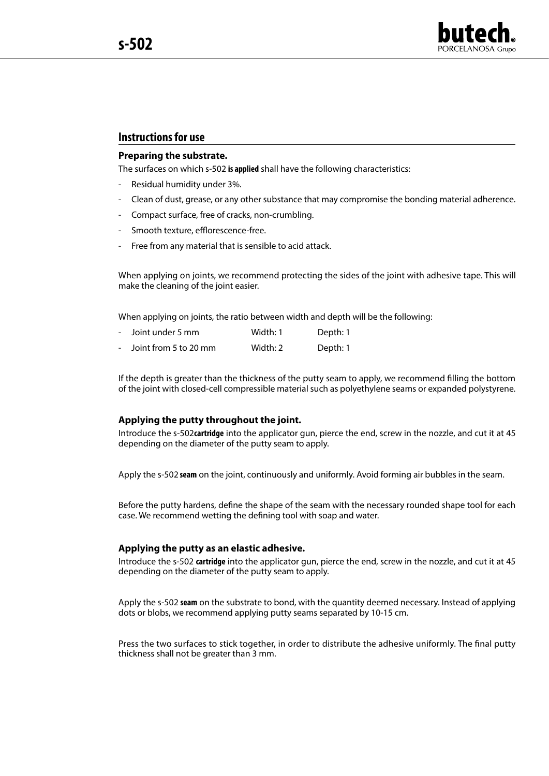

# **Instructions for use**

#### **Preparing the substrate.**

The surfaces on which s-502 **is applied** shall have the following characteristics:

- Residual humidity under 3%.
- Clean of dust, grease, or any other substance that may compromise the bonding material adherence.
- Compact surface, free of cracks, non-crumbling.
- Smooth texture, efflorescence-free.
- Free from any material that is sensible to acid attack.

When applying on joints, we recommend protecting the sides of the joint with adhesive tape. This will make the cleaning of the joint easier.

When applying on joints, the ratio between width and depth will be the following:

| $\sim$         | Joint under 5 mm      | Width: 1 | Depth: 1 |
|----------------|-----------------------|----------|----------|
| $\overline{a}$ | Joint from 5 to 20 mm | Width: 2 | Depth: 1 |

If the depth is greater than the thickness of the putty seam to apply, we recommend filling the bottom of the joint with closed-cell compressible material such as polyethylene seams or expanded polystyrene.

#### **Applying the putty throughout the joint.**

Introduce the s-502**cartridge** into the applicator gun, pierce the end, screw in the nozzle, and cut it at 45 depending on the diameter of the putty seam to apply.

Apply the s-502 **seam** on the joint, continuously and uniformly. Avoid forming air bubbles in the seam.

Before the putty hardens, define the shape of the seam with the necessary rounded shape tool for each case. We recommend wetting the defining tool with soap and water.

#### **Applying the putty as an elastic adhesive.**

Introduce the s-502 **cartridge** into the applicator gun, pierce the end, screw in the nozzle, and cut it at 45 depending on the diameter of the putty seam to apply.

Apply the s-502 **seam** on the substrate to bond, with the quantity deemed necessary. Instead of applying dots or blobs, we recommend applying putty seams separated by 10-15 cm.

Press the two surfaces to stick together, in order to distribute the adhesive uniformly. The final putty thickness shall not be greater than 3 mm.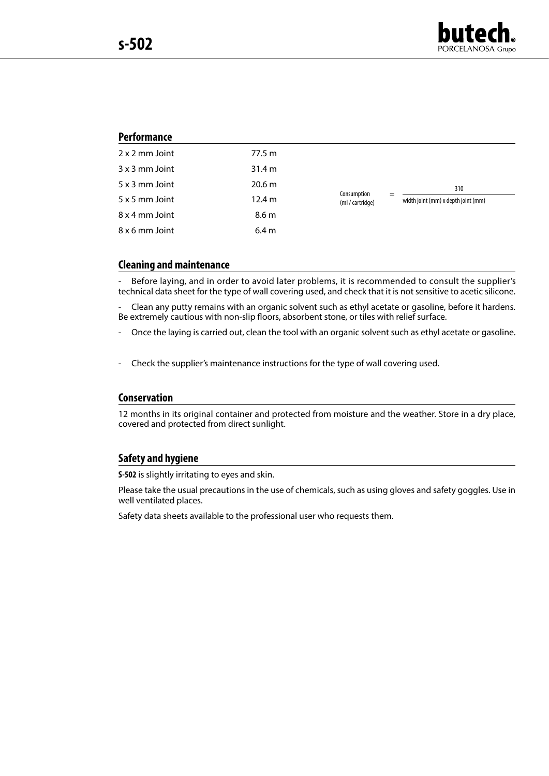

# **Performance**

| 2 x 2 mm Joint | 77.5 m           |                                 |                                     |
|----------------|------------------|---------------------------------|-------------------------------------|
| $3x3$ mm Joint | 31.4 m           |                                 |                                     |
| 5 x 3 mm Joint | 20.6 m           |                                 | 310                                 |
| 5 x 5 mm Joint | 12.4 m           | Consumption<br>(ml / cartridge) | width joint (mm) x depth joint (mm) |
| 8 x 4 mm Joint | 8.6 <sub>m</sub> |                                 |                                     |
| 8 x 6 mm Joint | 6.4 <sub>m</sub> |                                 |                                     |

#### **Cleaning and maintenance**

Before laying, and in order to avoid later problems, it is recommended to consult the supplier's technical data sheet for the type of wall covering used, and check that it is not sensitive to acetic silicone.

- Clean any putty remains with an organic solvent such as ethyl acetate or gasoline, before it hardens. Be extremely cautious with non-slip floors, absorbent stone, or tiles with relief surface.

- Once the laying is carried out, clean the tool with an organic solvent such as ethyl acetate or gasoline.
- Check the supplier's maintenance instructions for the type of wall covering used.

#### **Conservation**

12 months in its original container and protected from moisture and the weather. Store in a dry place, covered and protected from direct sunlight.

#### **Safety and hygiene**

**S-502** is slightly irritating to eyes and skin.

Please take the usual precautions in the use of chemicals, such as using gloves and safety goggles. Use in well ventilated places.

Safety data sheets available to the professional user who requests them.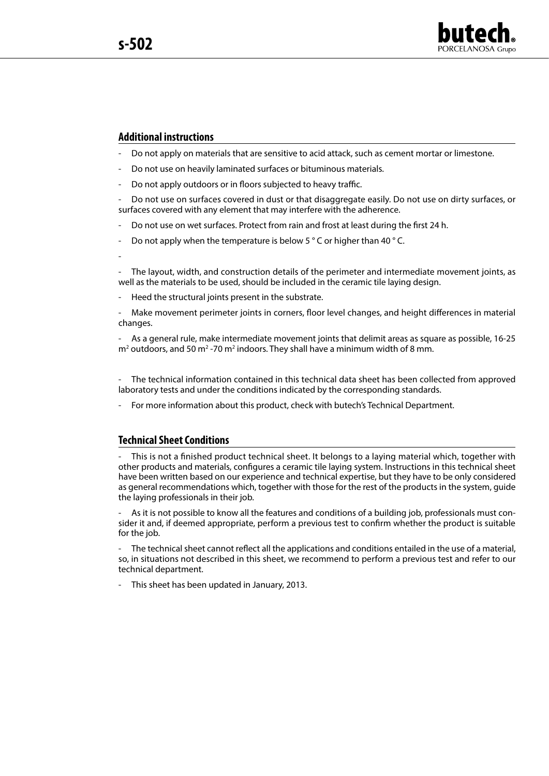-



#### **Additional instructions**

- Do not apply on materials that are sensitive to acid attack, such as cement mortar or limestone.
- Do not use on heavily laminated surfaces or bituminous materials.
- Do not apply outdoors or in floors subjected to heavy traffic.

- Do not use on surfaces covered in dust or that disaggregate easily. Do not use on dirty surfaces, or surfaces covered with any element that may interfere with the adherence.

- Do not use on wet surfaces. Protect from rain and frost at least during the first 24 h.
- Do not apply when the temperature is below 5  $\degree$  C or higher than 40  $\degree$  C.

The layout, width, and construction details of the perimeter and intermediate movement joints, as well as the materials to be used, should be included in the ceramic tile laying design.

Heed the structural joints present in the substrate.

Make movement perimeter joints in corners, floor level changes, and height differences in material changes.

- As a general rule, make intermediate movement joints that delimit areas as square as possible, 16-25  $m^2$  outdoors, and 50 m<sup>2</sup> -70 m<sup>2</sup> indoors. They shall have a minimum width of 8 mm.

The technical information contained in this technical data sheet has been collected from approved laboratory tests and under the conditions indicated by the corresponding standards.

- For more information about this product, check with butech's Technical Department.

#### **Technical Sheet Conditions**

This is not a finished product technical sheet. It belongs to a laying material which, together with other products and materials, configures a ceramic tile laying system. Instructions in this technical sheet have been written based on our experience and technical expertise, but they have to be only considered as general recommendations which, together with those for the rest of the products in the system, guide the laying professionals in their job.

As it is not possible to know all the features and conditions of a building job, professionals must consider it and, if deemed appropriate, perform a previous test to confirm whether the product is suitable for the job.

The technical sheet cannot reflect all the applications and conditions entailed in the use of a material, so, in situations not described in this sheet, we recommend to perform a previous test and refer to our technical department.

- This sheet has been updated in January, 2013.